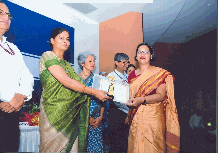